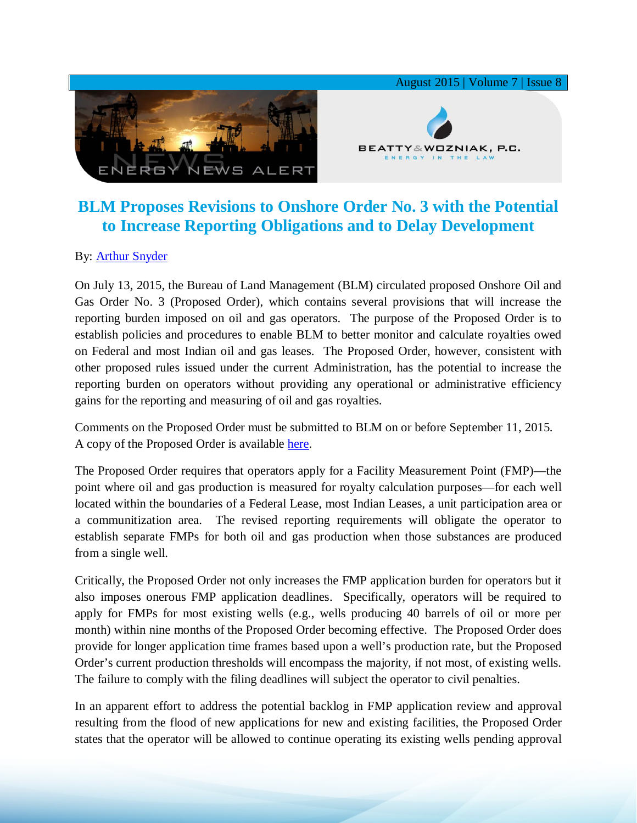

## **BLM Proposes Revisions to Onshore Order No. 3 with the Potential to Increase Reporting Obligations and to Delay Development**

## By: [Arthur Snyder](http://www.bwenergylaw.com/#!art-snyder/ckqc)

On July 13, 2015, the Bureau of Land Management (BLM) circulated proposed Onshore Oil and Gas Order No. 3 (Proposed Order), which contains several provisions that will increase the reporting burden imposed on oil and gas operators. The purpose of the Proposed Order is to establish policies and procedures to enable BLM to better monitor and calculate royalties owed on Federal and most Indian oil and gas leases. The Proposed Order, however, consistent with other proposed rules issued under the current Administration, has the potential to increase the reporting burden on operators without providing any operational or administrative efficiency gains for the reporting and measuring of oil and gas royalties.

Comments on the Proposed Order must be submitted to BLM on or before September 11, 2015. A copy of the Proposed Order is available [here](https://www.federalregister.gov/articles/2015/07/13/2015-16737/onshore-oil-and-gas-operations-federal-and-indian-oil-and-gas-leases-site-security%23h-8).

The Proposed Order requires that operators apply for a Facility Measurement Point (FMP)—the point where oil and gas production is measured for royalty calculation purposes—for each well located within the boundaries of a Federal Lease, most Indian Leases, a unit participation area or a communitization area. The revised reporting requirements will obligate the operator to establish separate FMPs for both oil and gas production when those substances are produced from a single well.

Critically, the Proposed Order not only increases the FMP application burden for operators but it also imposes onerous FMP application deadlines. Specifically, operators will be required to apply for FMPs for most existing wells (e.g., wells producing 40 barrels of oil or more per month) within nine months of the Proposed Order becoming effective. The Proposed Order does provide for longer application time frames based upon a well's production rate, but the Proposed Order's current production thresholds will encompass the majority, if not most, of existing wells. The failure to comply with the filing deadlines will subject the operator to civil penalties.

In an apparent effort to address the potential backlog in FMP application review and approval resulting from the flood of new applications for new and existing facilities, the Proposed Order states that the operator will be allowed to continue operating its existing wells pending approval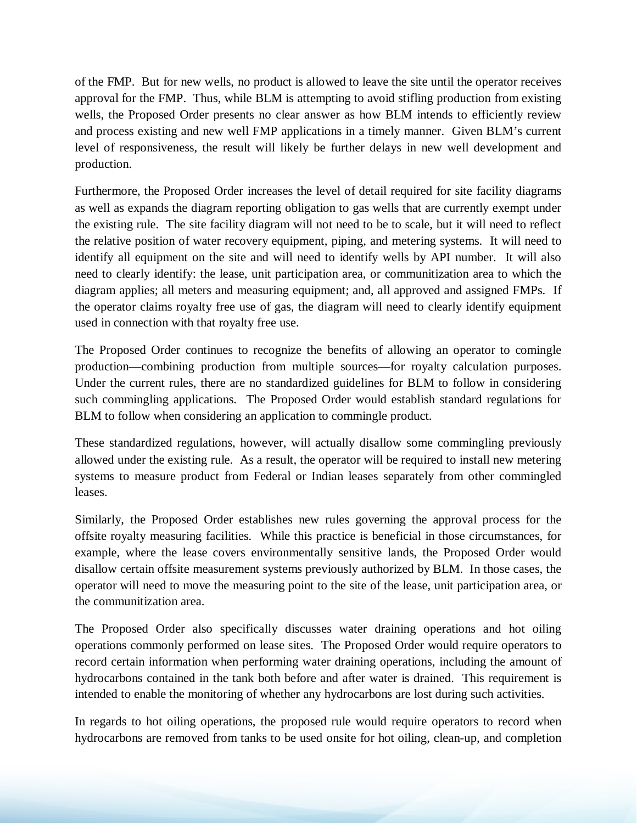of the FMP. But for new wells, no product is allowed to leave the site until the operator receives approval for the FMP. Thus, while BLM is attempting to avoid stifling production from existing wells, the Proposed Order presents no clear answer as how BLM intends to efficiently review and process existing and new well FMP applications in a timely manner. Given BLM's current level of responsiveness, the result will likely be further delays in new well development and production.

Furthermore, the Proposed Order increases the level of detail required for site facility diagrams as well as expands the diagram reporting obligation to gas wells that are currently exempt under the existing rule. The site facility diagram will not need to be to scale, but it will need to reflect the relative position of water recovery equipment, piping, and metering systems. It will need to identify all equipment on the site and will need to identify wells by API number. It will also need to clearly identify: the lease, unit participation area, or communitization area to which the diagram applies; all meters and measuring equipment; and, all approved and assigned FMPs. If the operator claims royalty free use of gas, the diagram will need to clearly identify equipment used in connection with that royalty free use.

The Proposed Order continues to recognize the benefits of allowing an operator to comingle production—combining production from multiple sources—for royalty calculation purposes. Under the current rules, there are no standardized guidelines for BLM to follow in considering such commingling applications. The Proposed Order would establish standard regulations for BLM to follow when considering an application to commingle product.

These standardized regulations, however, will actually disallow some commingling previously allowed under the existing rule. As a result, the operator will be required to install new metering systems to measure product from Federal or Indian leases separately from other commingled leases.

Similarly, the Proposed Order establishes new rules governing the approval process for the offsite royalty measuring facilities. While this practice is beneficial in those circumstances, for example, where the lease covers environmentally sensitive lands, the Proposed Order would disallow certain offsite measurement systems previously authorized by BLM. In those cases, the operator will need to move the measuring point to the site of the lease, unit participation area, or the communitization area.

The Proposed Order also specifically discusses water draining operations and hot oiling operations commonly performed on lease sites. The Proposed Order would require operators to record certain information when performing water draining operations, including the amount of hydrocarbons contained in the tank both before and after water is drained. This requirement is intended to enable the monitoring of whether any hydrocarbons are lost during such activities.

In regards to hot oiling operations, the proposed rule would require operators to record when hydrocarbons are removed from tanks to be used onsite for hot oiling, clean-up, and completion